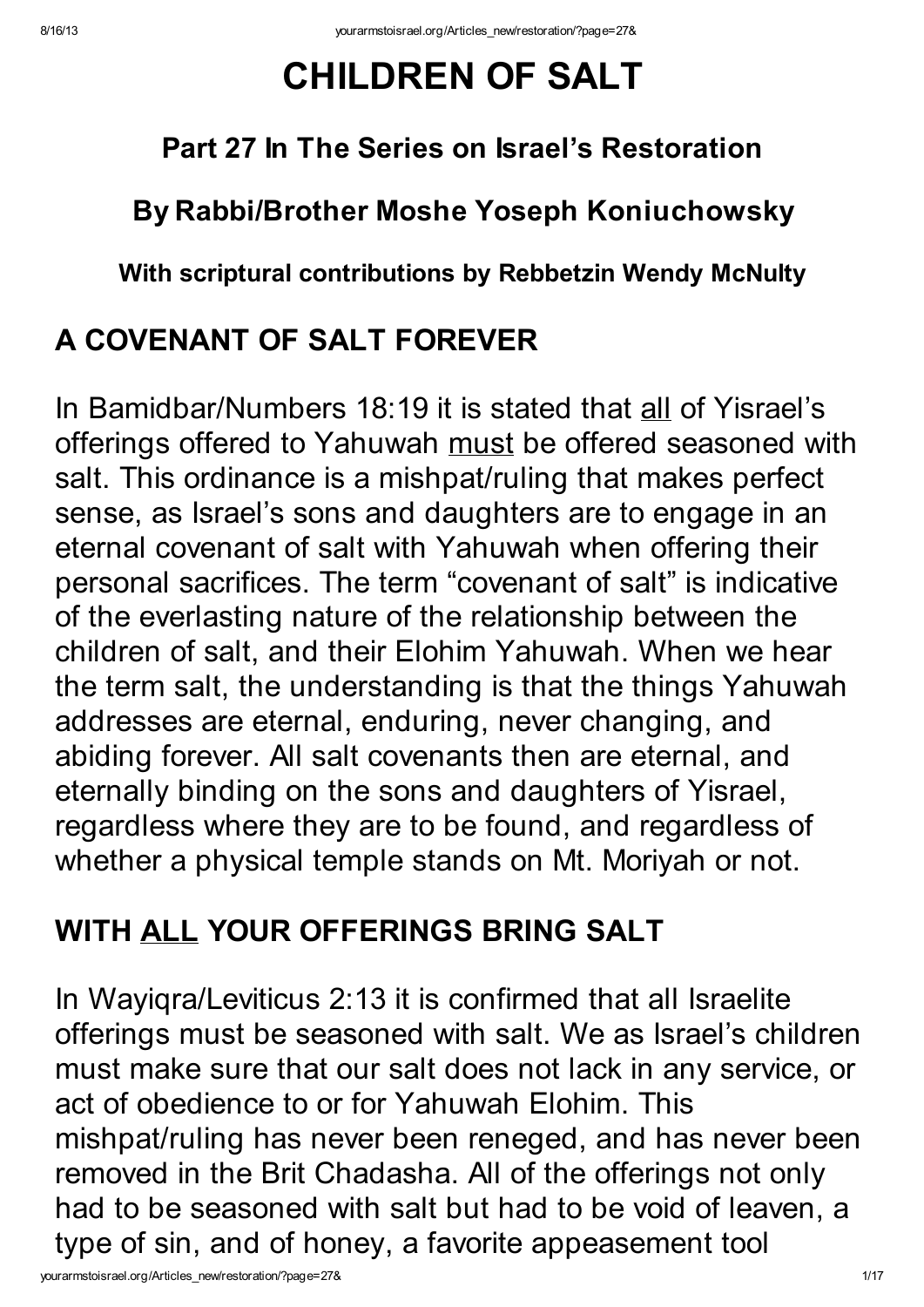# CHILDREN OF SALT

#### Part 27 In The Series on Israel's Restoration

#### By Rabbi/Brother Moshe Yoseph Koniuchowsky

#### With scriptural contributions by Rebbetzin Wendy McNulty

### A COVENANT OF SALT FOREVER

In Bamidbar/Numbers 18:19 it is stated that all of Yisrael's offerings offered to Yahuwah must be offered seasoned with salt. This ordinance is a mishpat/ruling that makes perfect sense, as Israel's sons and daughters are to engage in an eternal covenant of salt with Yahuwah when offering their personal sacrifices. The term "covenant of salt" is indicative of the everlasting nature of the relationship between the children of salt, and their Elohim Yahuwah. When we hear the term salt, the understanding is that the things Yahuwah addresses are eternal, enduring, never changing, and abiding forever. All salt covenants then are eternal, and eternally binding on the sons and daughters of Yisrael, regardless where they are to be found, and regardless of whether a physical temple stands on Mt. Moriyah or not.

### WITH ALL YOUR OFFERINGS BRING SALT

In Wayiqra/Leviticus 2:13 it is confirmed that all Israelite offerings must be seasoned with salt. We as Israel's children must make sure that our salt does not lack in any service, or act of obedience to or for Yahuwah Elohim. This mishpat/ruling has never been reneged, and has never been removed in the Brit Chadasha. All of the offerings not only had to be seasoned with salt but had to be void of leaven, a type of sin, and of honey, a favorite appeasement tool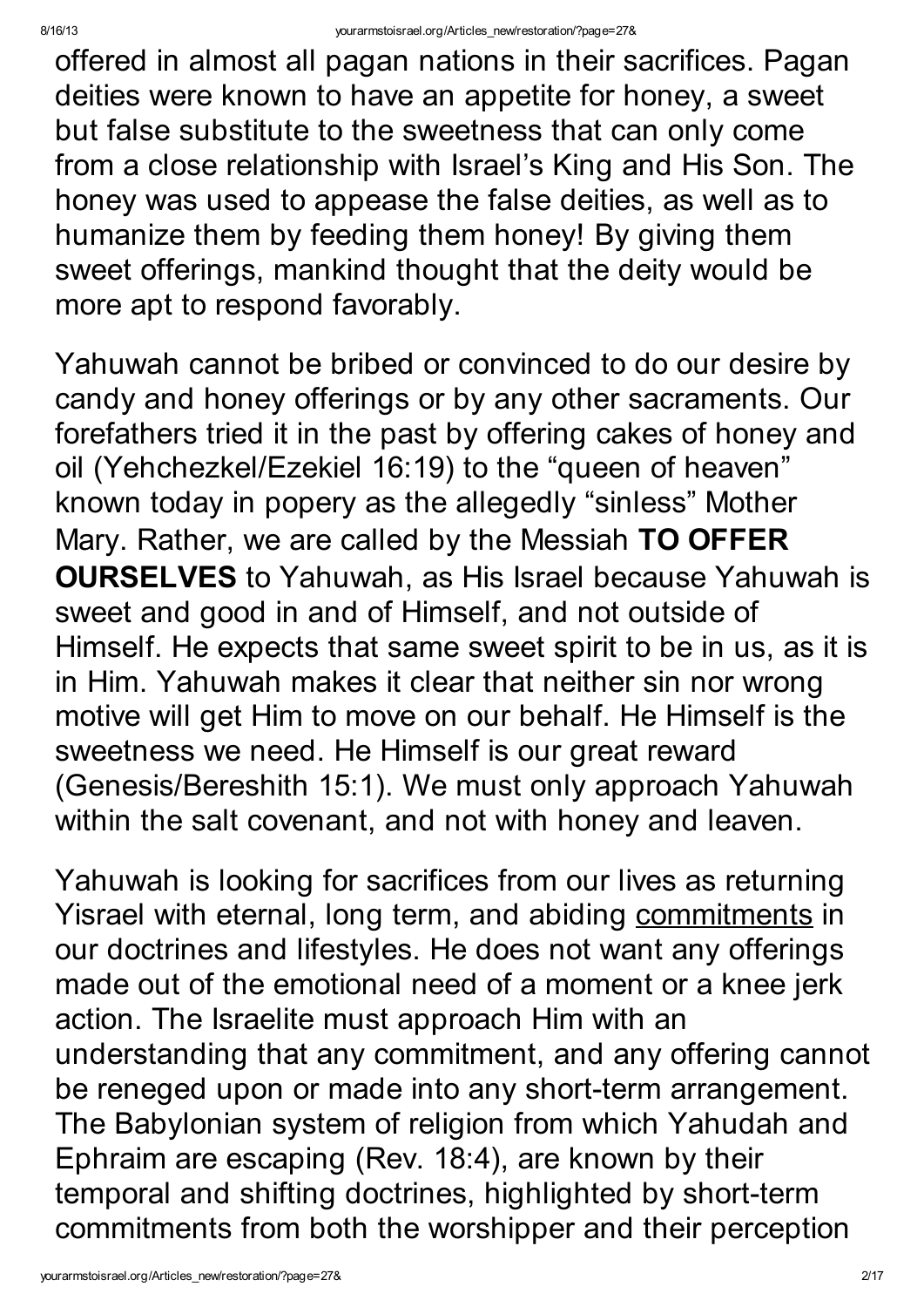offered in almost all pagan nations in their sacrifices. Pagan deities were known to have an appetite for honey, a sweet but false substitute to the sweetness that can only come from a close relationship with Israel's King and His Son. The honey was used to appease the false deities, as well as to humanize them by feeding them honey! By giving them sweet offerings, mankind thought that the deity would be more apt to respond favorably.

Yahuwah cannot be bribed or convinced to do our desire by candy and honey offerings or by any other sacraments. Our forefathers tried it in the past by offering cakes of honey and oil (Yehchezkel/Ezekiel 16:19) to the "queen of heaven" known today in popery as the allegedly "sinless" Mother Mary. Rather, we are called by the Messiah TO OFFER OURSELVES to Yahuwah, as His Israel because Yahuwah is sweet and good in and of Himself, and not outside of Himself. He expects that same sweet spirit to be in us, as it is in Him. Yahuwah makes it clear that neither sin nor wrong motive will get Him to move on our behalf. He Himself is the sweetness we need. He Himself is our great reward (Genesis/Bereshith 15:1). We must only approach Yahuwah within the salt covenant, and not with honey and leaven.

Yahuwah is looking for sacrifices from our lives as returning Yisrael with eternal, long term, and abiding commitments in our doctrines and lifestyles. He does not want any offerings made out of the emotional need of a moment or a knee jerk action. The Israelite must approach Him with an understanding that any commitment, and any offering cannot be reneged upon or made into any short-term arrangement. The Babylonian system of religion from which Yahudah and Ephraim are escaping (Rev. 18:4), are known by their temporal and shifting doctrines, highlighted by short-term commitments from both the worshipper and their perception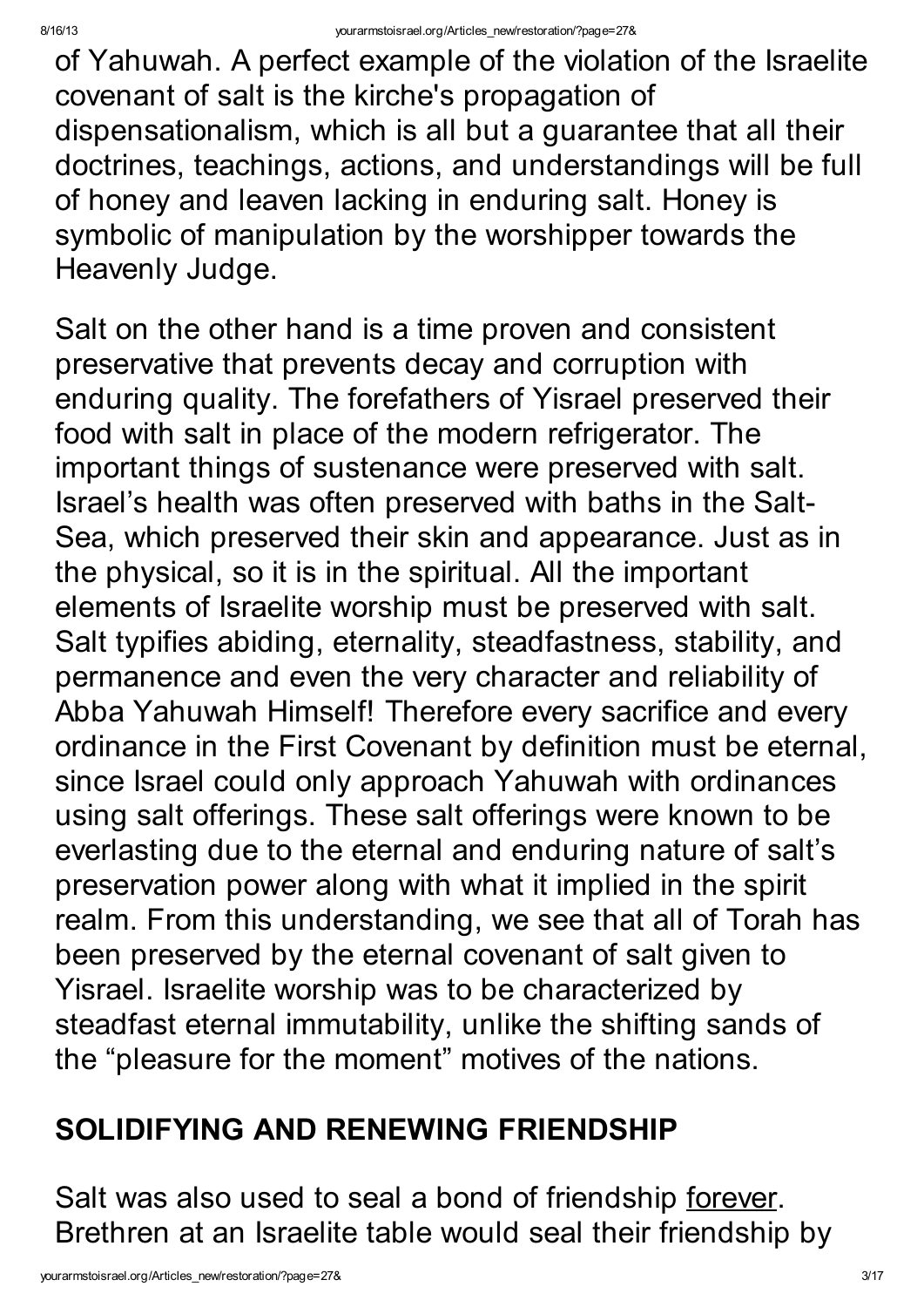of Yahuwah. A perfect example of the violation of the Israelite covenant of salt is the kirche's propagation of dispensationalism, which is all but a guarantee that all their doctrines, teachings, actions, and understandings will be full of honey and leaven lacking in enduring salt. Honey is symbolic of manipulation by the worshipper towards the Heavenly Judge.

Salt on the other hand is a time proven and consistent preservative that prevents decay and corruption with enduring quality. The forefathers of Yisrael preserved their food with salt in place of the modern refrigerator. The important things of sustenance were preserved with salt. Israel's health was often preserved with baths in the Salt-Sea, which preserved their skin and appearance. Just as in the physical, so it is in the spiritual. All the important elements of Israelite worship must be preserved with salt. Salt typifies abiding, eternality, steadfastness, stability, and permanence and even the very character and reliability of Abba Yahuwah Himself! Therefore every sacrifice and every ordinance in the First Covenant by definition must be eternal, since Israel could only approach Yahuwah with ordinances using salt offerings. These salt offerings were known to be everlasting due to the eternal and enduring nature of salt's preservation power along with what it implied in the spirit realm. From this understanding, we see that all of Torah has been preserved by the eternal covenant of salt given to Yisrael. Israelite worship was to be characterized by steadfast eternal immutability, unlike the shifting sands of the "pleasure for the moment" motives of the nations.

#### SOLIDIFYING AND RENEWING FRIENDSHIP

Salt was also used to seal a bond of friendship forever. Brethren at an Israelite table would seal their friendship by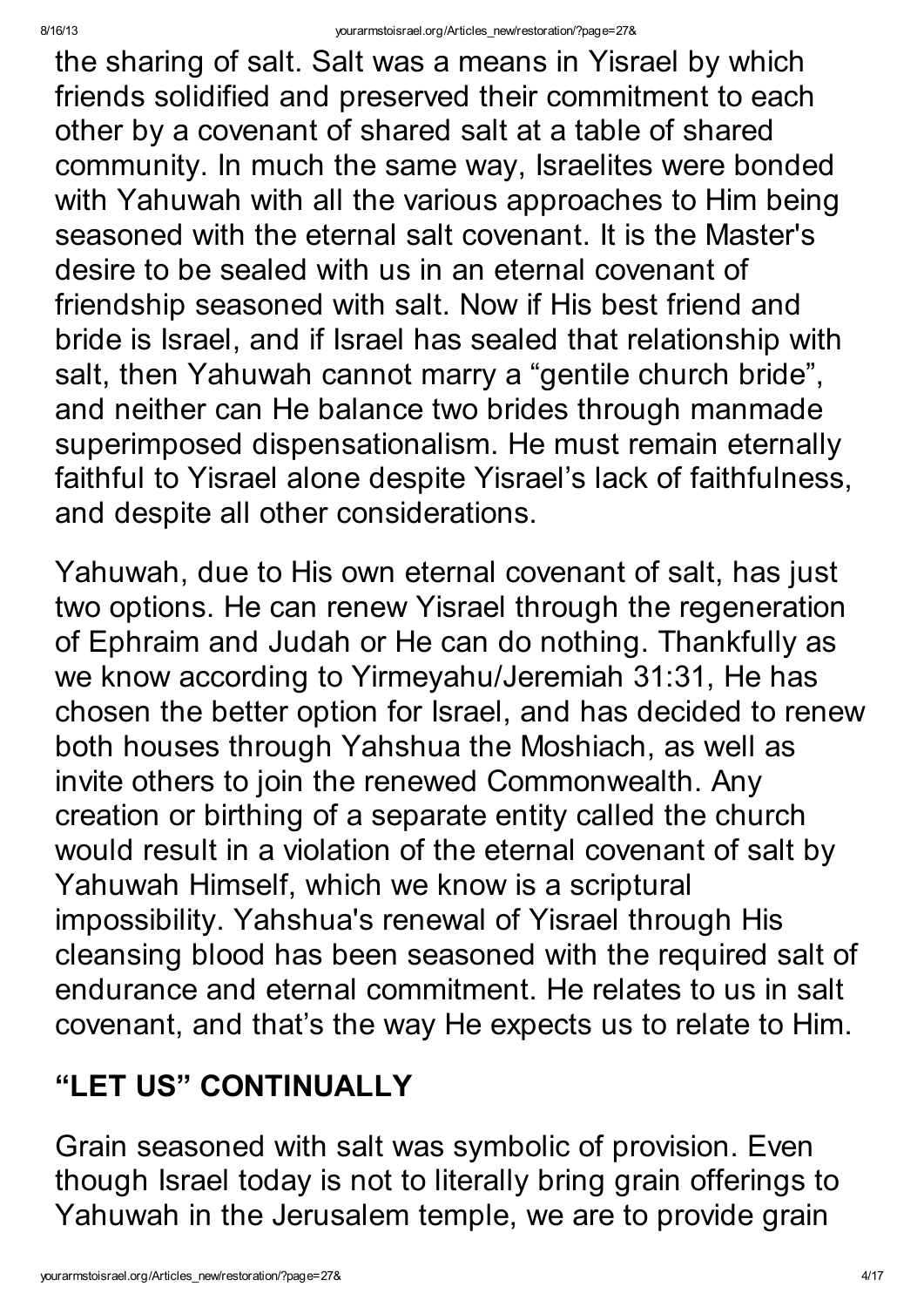the sharing of salt. Salt was a means in Yisrael by which friends solidified and preserved their commitment to each other by a covenant of shared salt at a table of shared community. In much the same way, Israelites were bonded with Yahuwah with all the various approaches to Him being seasoned with the eternal salt covenant. It is the Master's desire to be sealed with us in an eternal covenant of friendship seasoned with salt. Now if His best friend and bride is Israel, and if Israel has sealed that relationship with salt, then Yahuwah cannot marry a "gentile church bride" , and neither can He balance two brides through manmade superimposed dispensationalism. He must remain eternally faithful to Yisrael alone despite Yisrael's lack of faithfulness, and despite all other considerations.

Yahuwah, due to His own eternal covenant of salt, has just two options. He can renew Yisrael through the regeneration of Ephraim and Judah or He can do nothing. Thankfully as we know according to Yirmeyahu/Jeremiah 31:31, He has chosen the better option for Israel, and has decided to renew both houses through Yahshua the Moshiach, as well as invite others to join the renewed Commonwealth. Any creation or birthing of a separate entity called the church would result in a violation of the eternal covenant of salt by Yahuwah Himself, which we know is a scriptural impossibility. Yahshua's renewal of Yisrael through His cleansing blood has been seasoned with the required salt of endurance and eternal commitment. He relates to us in salt covenant, and that's the way He expects us to relate to Him.

### "LET US" CONTINUALLY

Grain seasoned with salt was symbolic of provision. Even though Israel today is not to literally bring grain offerings to Yahuwah in the Jerusalem temple, we are to provide grain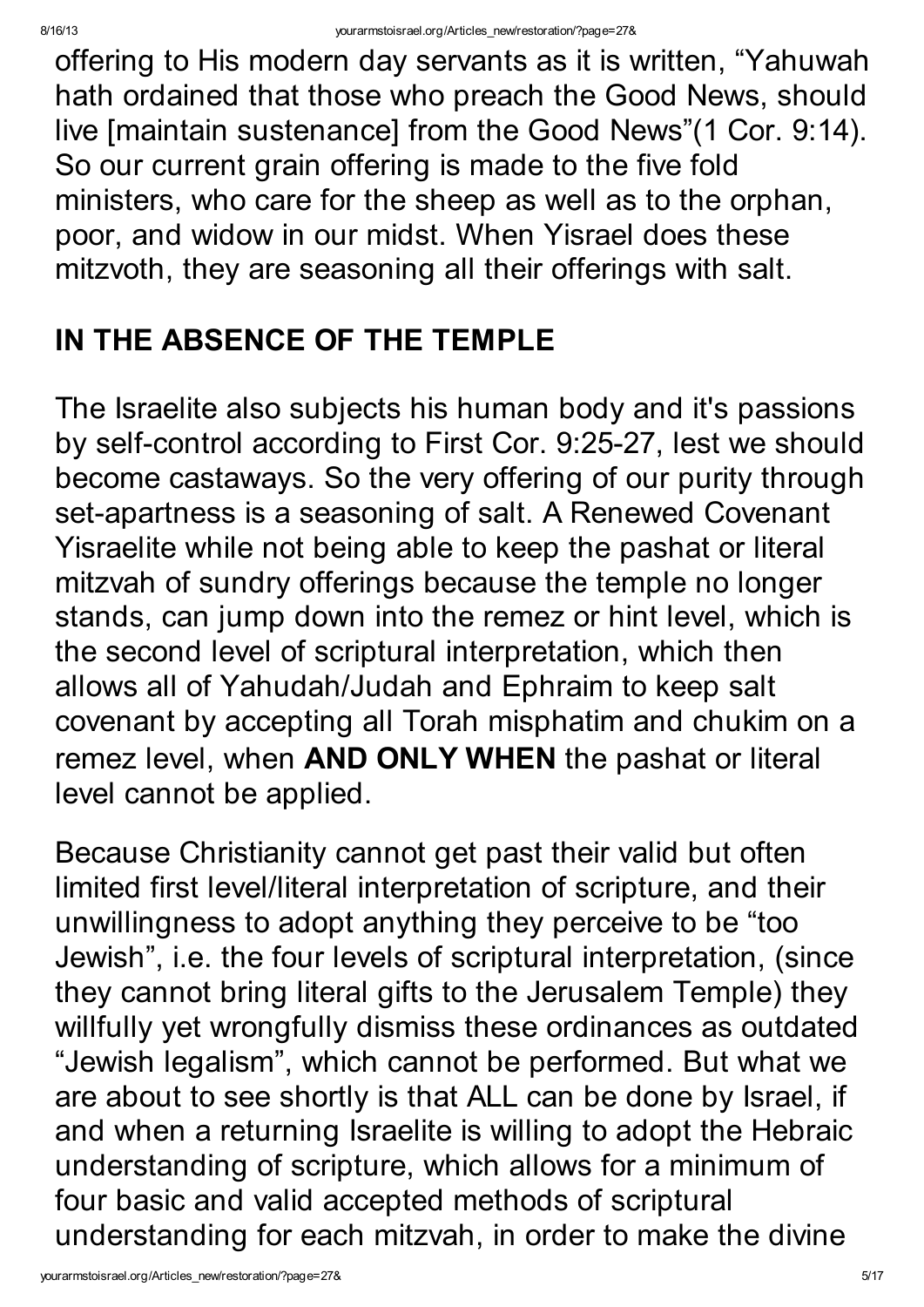offering to His modern day servants as it is written, "Yahuwah hath ordained that those who preach the Good News, should live [maintain sustenance] from the Good News"(1 Cor. 9:14). So our current grain offering is made to the five fold ministers, who care for the sheep as well as to the orphan, poor, and widow in our midst. When Yisrael does these mitzvoth, they are seasoning all their offerings with salt.

#### IN THE ABSENCE OF THE TEMPLE

The Israelite also subjects his human body and it's passions by self-control according to First Cor. 9:25-27, lest we should become castaways. So the very offering of our purity through set-apartness is a seasoning of salt. A Renewed Covenant Yisraelite while not being able to keep the pashat or literal mitzvah of sundry offerings because the temple no longer stands, can jump down into the remez or hint level, which is the second level of scriptural interpretation, which then allows all of Yahudah/Judah and Ephraim to keep salt covenant by accepting all Torah misphatim and chukim on a remez level, when AND ONLY WHEN the pashat or literal level cannot be applied.

Because Christianity cannot get past their valid but often limited first level/literal interpretation of scripture, and their unwillingness to adopt anything they perceive to be "too Jewish" , i.e. the four levels of scriptural interpretation, (since they cannot bring literal gifts to the Jerusalem Temple) they willfully yet wrongfully dismiss these ordinances as outdated "Jewish legalism" , which cannot be performed. But what we are about to see shortly is that ALL can be done by Israel, if and when a returning Israelite is willing to adopt the Hebraic understanding of scripture, which allows for a minimum of four basic and valid accepted methods of scriptural understanding for each mitzvah, in order to make the divine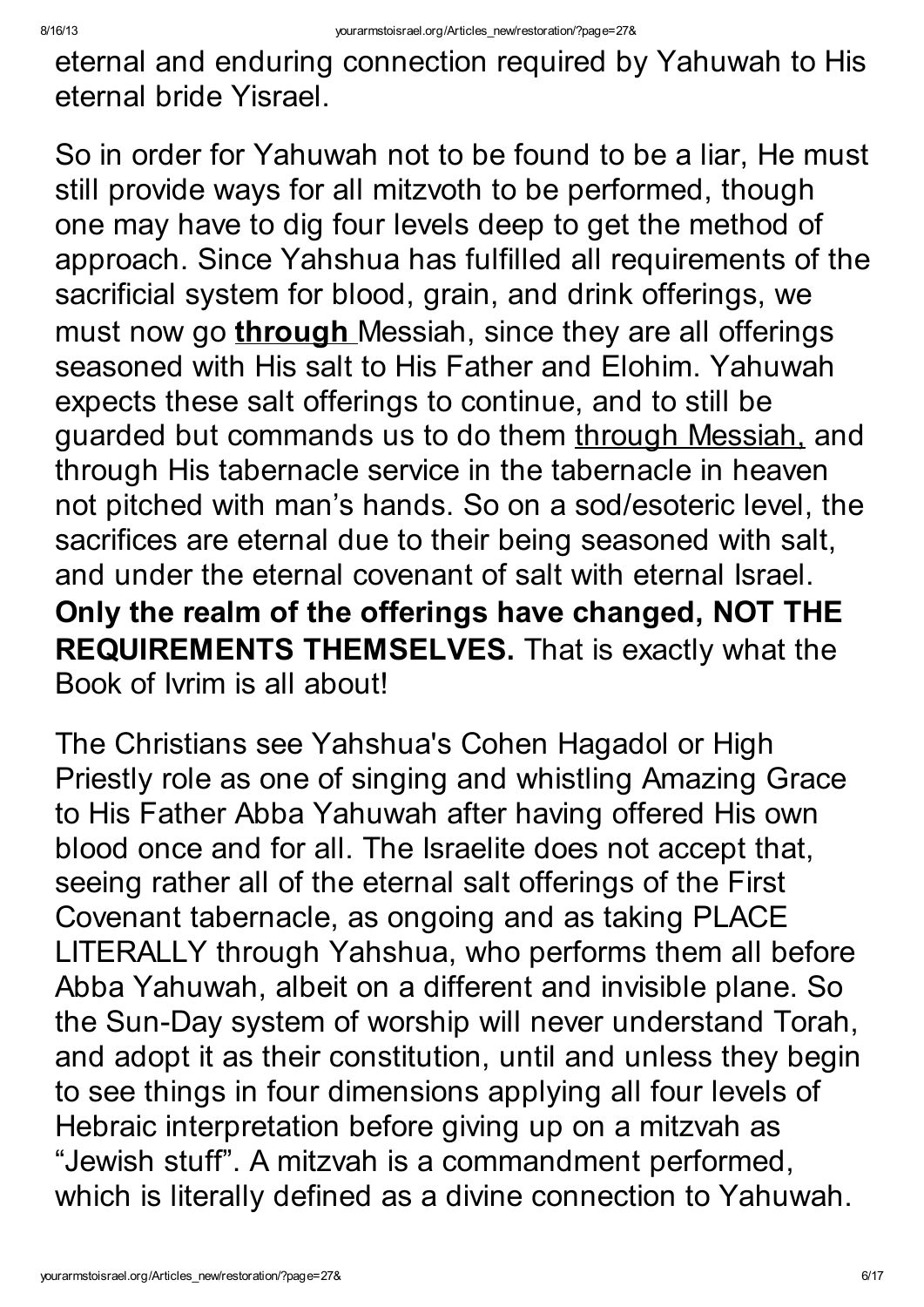eternal and enduring connection required by Yahuwah to His eternal bride Yisrael.

So in order for Yahuwah not to be found to be a liar, He must still provide ways for all mitzvoth to be performed, though one may have to dig four levels deep to get the method of approach. Since Yahshua has fulfilled all requirements of the sacrificial system for blood, grain, and drink offerings, we must now go **through** Messiah, since they are all offerings seasoned with His salt to His Father and Elohim. Yahuwah expects these salt offerings to continue, and to still be guarded but commands us to do them through Messiah, and through His tabernacle service in the tabernacle in heaven not pitched with man's hands. So on a sod/esoteric level, the sacrifices are eternal due to their being seasoned with salt, and under the eternal covenant of salt with eternal Israel. Only the realm of the offerings have changed, NOT THE REQUIREMENTS THEMSELVES. That is exactly what the Book of Ivrim is all about!

The Christians see Yahshua's Cohen Hagadol or High Priestly role as one of singing and whistling Amazing Grace to His Father Abba Yahuwah after having offered His own blood once and for all. The Israelite does not accept that, seeing rather all of the eternal salt offerings of the First Covenant tabernacle, as ongoing and as taking PLACE LITERALLY through Yahshua, who performs them all before Abba Yahuwah, albeit on a different and invisible plane. So the Sun-Day system of worship will never understand Torah, and adopt it as their constitution, until and unless they begin to see things in four dimensions applying all four levels of Hebraic interpretation before giving up on a mitzvah as "Jewish stuff". A mitzvah is a commandment performed, which is literally defined as a divine connection to Yahuwah.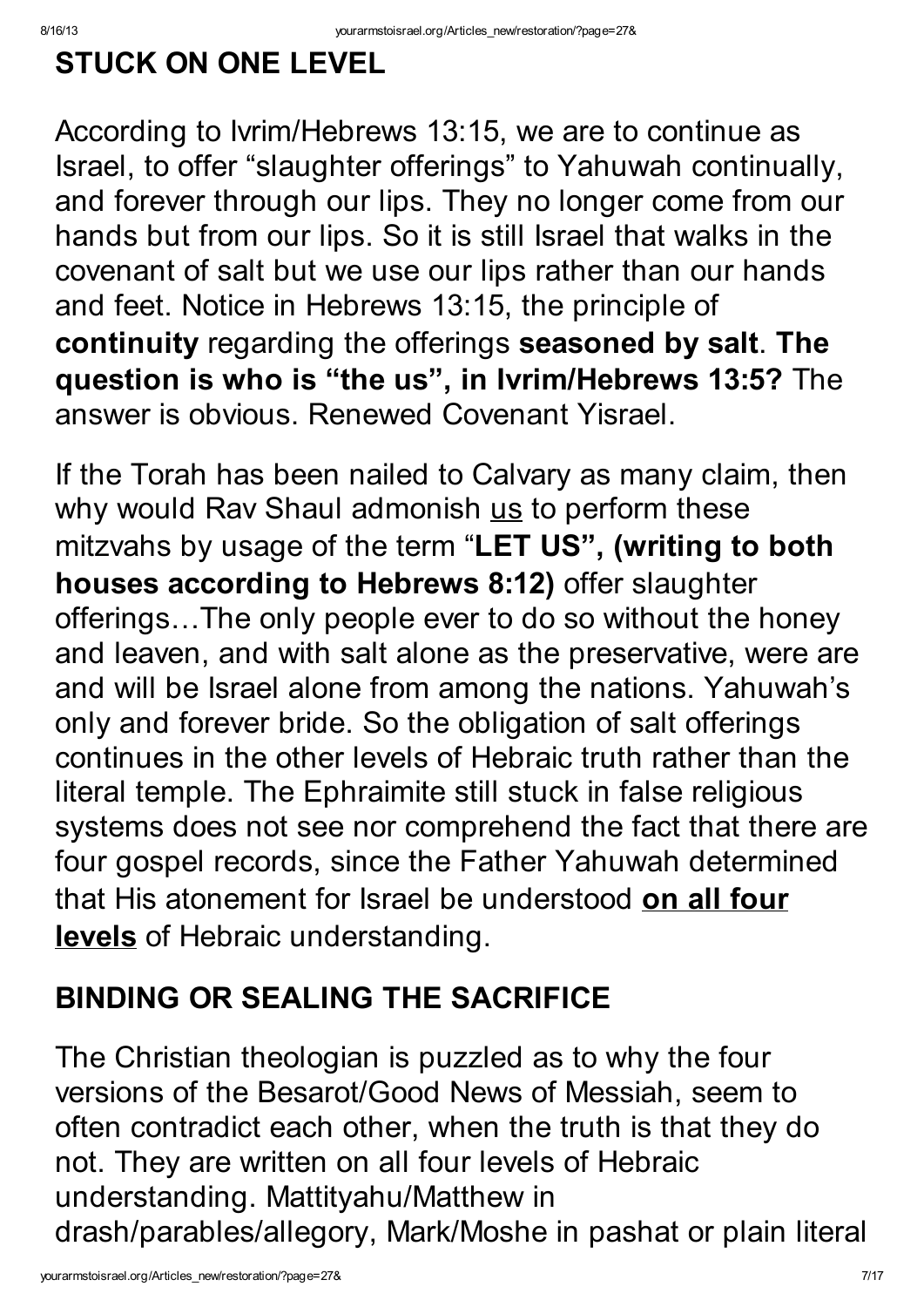### STUCK ON ONE LEVEL

According to Ivrim/Hebrews 13:15, we are to continue as Israel, to offer "slaughter offerings" to Yahuwah continually, and forever through our lips. They no longer come from our hands but from our lips. So it is still Israel that walks in the covenant of salt but we use our lips rather than our hands and feet. Notice in Hebrews 13:15, the principle of continuity regarding the offerings seasoned by salt. The question is who is "the us" , in Ivrim/Hebrews 13:5? The answer is obvious. Renewed Covenant Yisrael.

If the Torah has been nailed to Calvary as many claim, then why would Rav Shaul admonish us to perform these mitzvahs by usage of the term "LET US", (writing to both houses according to Hebrews 8:12) offer slaughter offerings…The only people ever to do so without the honey and leaven, and with salt alone as the preservative, were are and will be Israel alone from among the nations. Yahuwah's only and forever bride. So the obligation of salt offerings continues in the other levels of Hebraic truth rather than the literal temple. The Ephraimite still stuck in false religious systems does not see nor comprehend the fact that there are four gospel records, since the Father Yahuwah determined that His atonement for Israel be understood on all four levels of Hebraic understanding.

### BINDING OR SEALING THE SACRIFICE

The Christian theologian is puzzled as to why the four versions of the Besarot/Good News of Messiah, seem to often contradict each other, when the truth is that they do not. They are written on all four levels of Hebraic understanding. Mattityahu/Matthew in drash/parables/allegory, Mark/Moshe in pashat or plain literal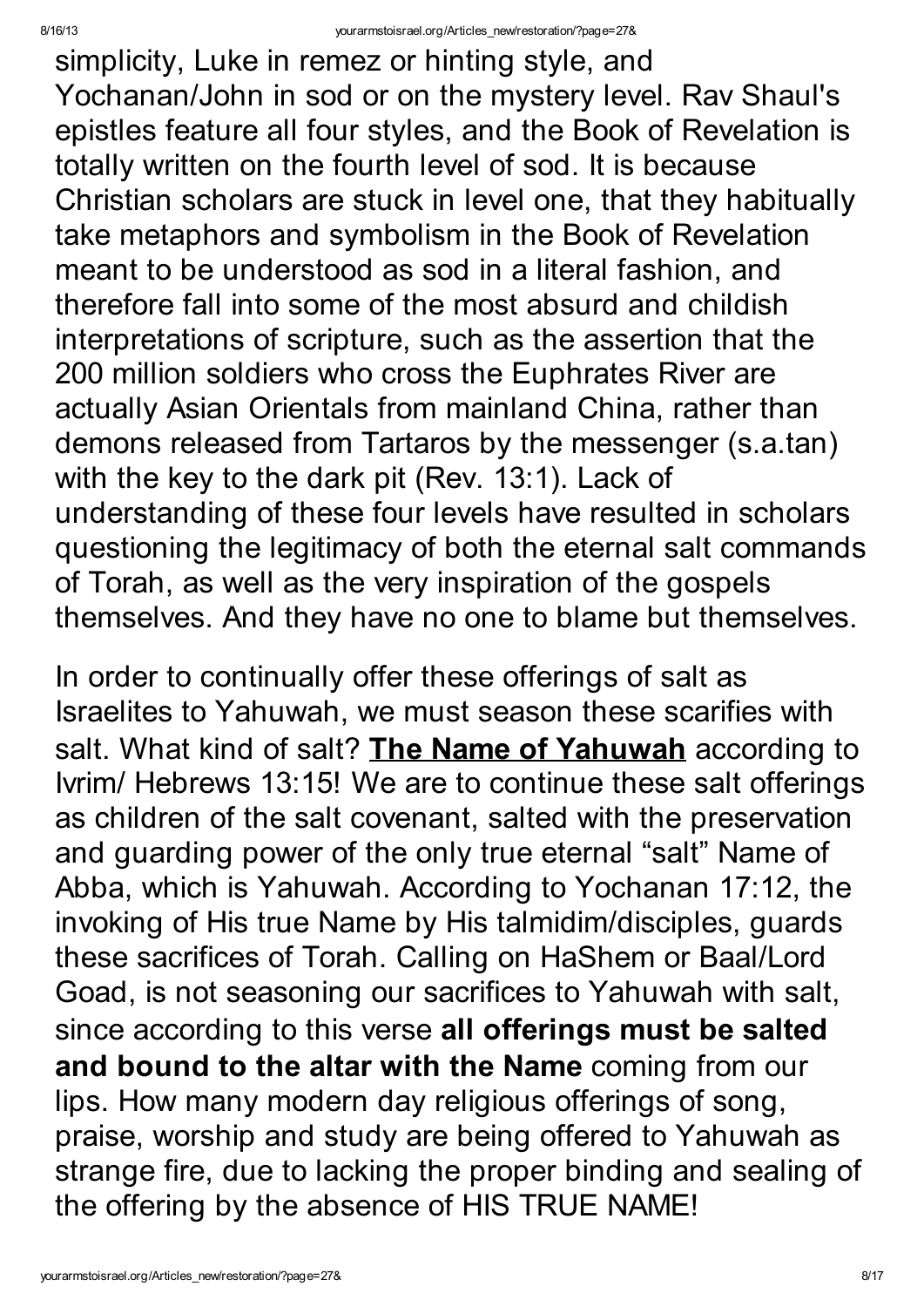simplicity, Luke in remez or hinting style, and Yochanan/John in sod or on the mystery level. Rav Shaul's epistles feature all four styles, and the Book of Revelation is totally written on the fourth level of sod. It is because Christian scholars are stuck in level one, that they habitually take metaphors and symbolism in the Book of Revelation meant to be understood as sod in a literal fashion, and therefore fall into some of the most absurd and childish interpretations of scripture, such as the assertion that the 200 million soldiers who cross the Euphrates River are actually Asian Orientals from mainland China, rather than demons released from Tartaros by the messenger (s.a.tan) with the key to the dark pit (Rev. 13:1). Lack of understanding of these four levels have resulted in scholars questioning the legitimacy of both the eternal salt commands of Torah, as well as the very inspiration of the gospels themselves. And they have no one to blame but themselves.

In order to continually offer these offerings of salt as Israelites to Yahuwah, we must season these scarifies with salt. What kind of salt? The Name of Yahuwah according to Ivrim/ Hebrews 13:15! We are to continue these salt offerings as children of the salt covenant, salted with the preservation and guarding power of the only true eternal "salt" Name of Abba, which is Yahuwah. According to Yochanan 17:12, the invoking of His true Name by His talmidim/disciples, guards these sacrifices of Torah. Calling on HaShem or Baal/Lord Goad, is not seasoning our sacrifices to Yahuwah with salt, since according to this verse all offerings must be salted and bound to the altar with the Name coming from our lips. How many modern day religious offerings of song, praise, worship and study are being offered to Yahuwah as strange fire, due to lacking the proper binding and sealing of the offering by the absence of HIS TRUE NAME!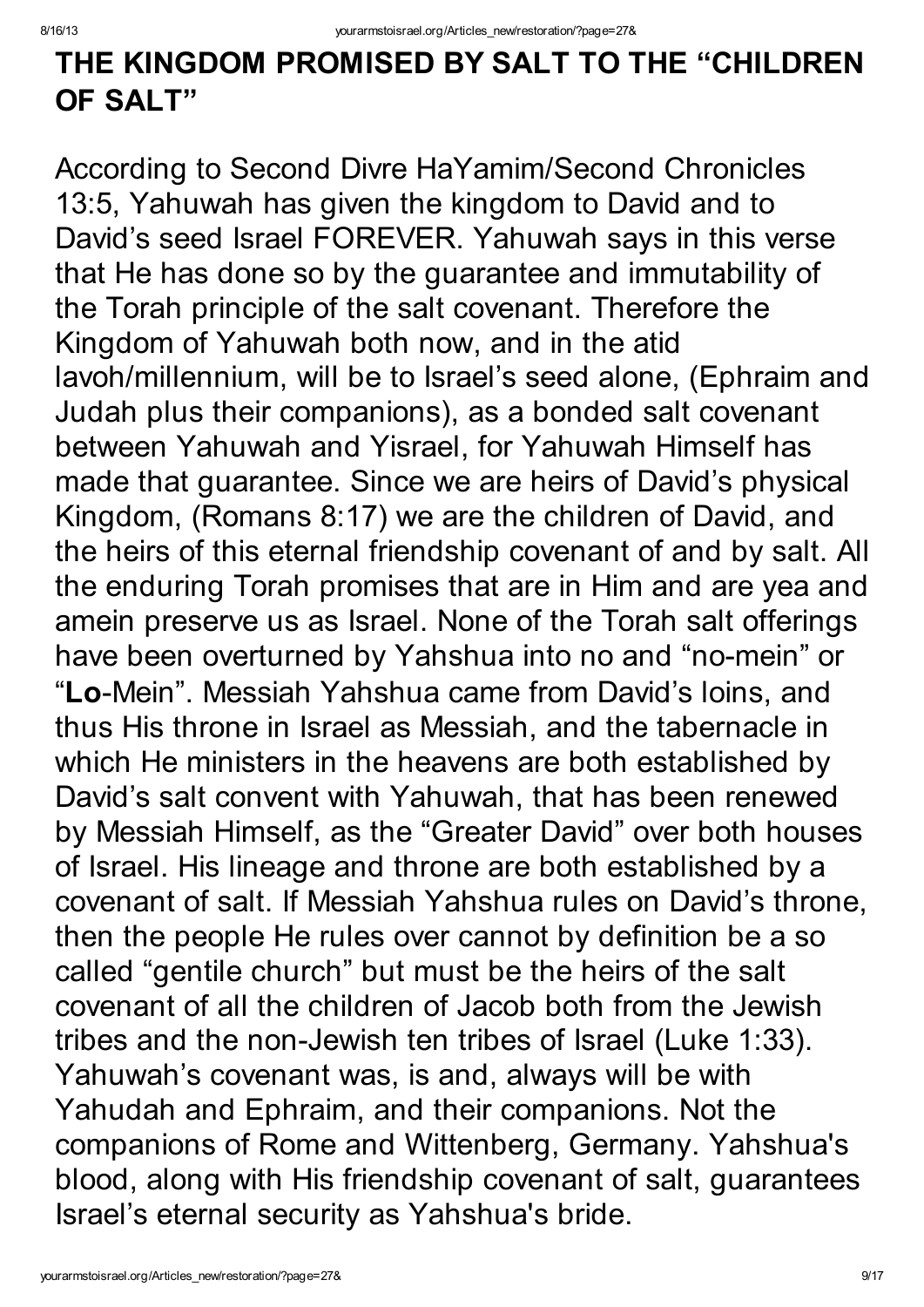#### THE KINGDOM PROMISED BY SALT TO THE "CHILDREN OF SALT"

According to Second Divre HaYamim/Second Chronicles 13:5, Yahuwah has given the kingdom to David and to David's seed Israel FOREVER. Yahuwah says in this verse that He has done so by the guarantee and immutability of the Torah principle of the salt covenant. Therefore the Kingdom of Yahuwah both now, and in the atid lavoh/millennium, will be to Israel's seed alone, (Ephraim and Judah plus their companions), as a bonded salt covenant between Yahuwah and Yisrael, for Yahuwah Himself has made that guarantee. Since we are heirs of David's physical Kingdom, (Romans 8:17) we are the children of David, and the heirs of this eternal friendship covenant of and by salt. All the enduring Torah promises that are in Him and are yea and amein preserve us as Israel. None of the Torah salt offerings have been overturned by Yahshua into no and "no-mein" or "Lo-Mein". Messiah Yahshua came from David's loins, and thus His throne in Israel as Messiah, and the tabernacle in which He ministers in the heavens are both established by David's salt convent with Yahuwah, that has been renewed by Messiah Himself, as the "Greater David" over both houses of Israel. His lineage and throne are both established by a covenant of salt. If Messiah Yahshua rules on David's throne, then the people He rules over cannot by definition be a so called "gentile church" but must be the heirs of the salt covenant of all the children of Jacob both from the Jewish tribes and the non-Jewish ten tribes of Israel (Luke 1:33). Yahuwah's covenant was, is and, always will be with Yahudah and Ephraim, and their companions. Not the companions of Rome and Wittenberg, Germany. Yahshua's blood, along with His friendship covenant of salt, guarantees Israel's eternal security as Yahshua's bride.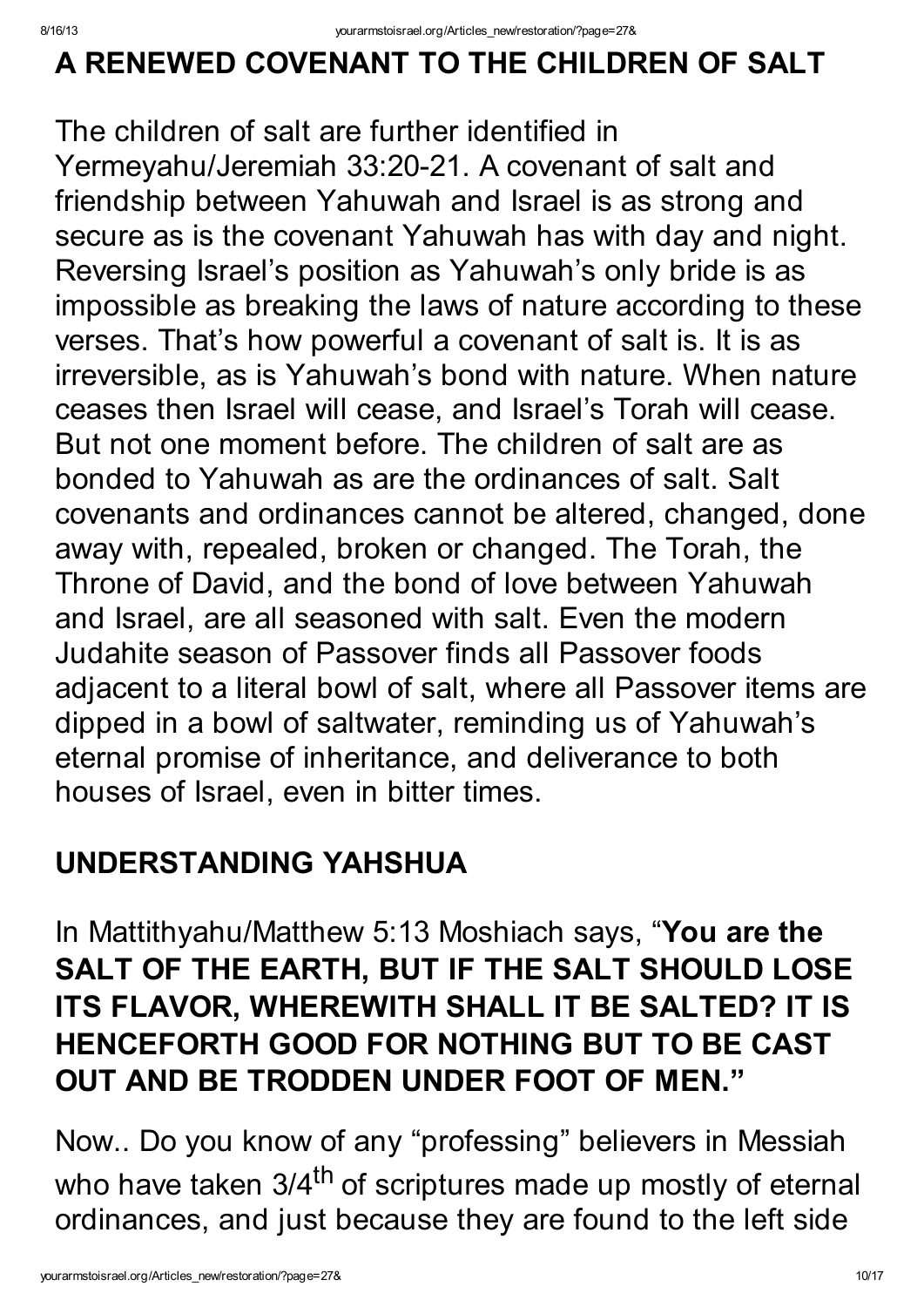### A RENEWED COVENANT TO THE CHILDREN OF SALT

The children of salt are further identified in Yermeyahu/Jeremiah 33:20-21. A covenant of salt and friendship between Yahuwah and Israel is as strong and secure as is the covenant Yahuwah has with day and night. Reversing Israel's position as Yahuwah's only bride is as impossible as breaking the laws of nature according to these verses. That's how powerful a covenant of salt is. It is as irreversible, as is Yahuwah's bond with nature. When nature ceases then Israel will cease, and Israel's Torah will cease. But not one moment before. The children of salt are as bonded to Yahuwah as are the ordinances of salt. Salt covenants and ordinances cannot be altered, changed, done away with, repealed, broken or changed. The Torah, the Throne of David, and the bond of love between Yahuwah and Israel, are all seasoned with salt. Even the modern Judahite season of Passover finds all Passover foods adjacent to a literal bowl of salt, where all Passover items are dipped in a bowl of saltwater, reminding us of Yahuwah's eternal promise of inheritance, and deliverance to both houses of Israel, even in bitter times.

#### UNDERSTANDING YAHSHUA

In Mattithyahu/Matthew 5:13 Moshiach says, "You are the SALT OF THE EARTH, BUT IF THE SALT SHOULD LOSE ITS FLAVOR, WHEREWITH SHALL IT BE SALTED? IT IS HENCEFORTH GOOD FOR NOTHING BUT TO BE CAST OUT AND BE TRODDEN UNDER FOOT OF MEN."

Now.. Do you know of any "professing" believers in Messiah who have taken 3/4<sup>th</sup> of scriptures made up mostly of eternal ordinances, and just because they are found to the left side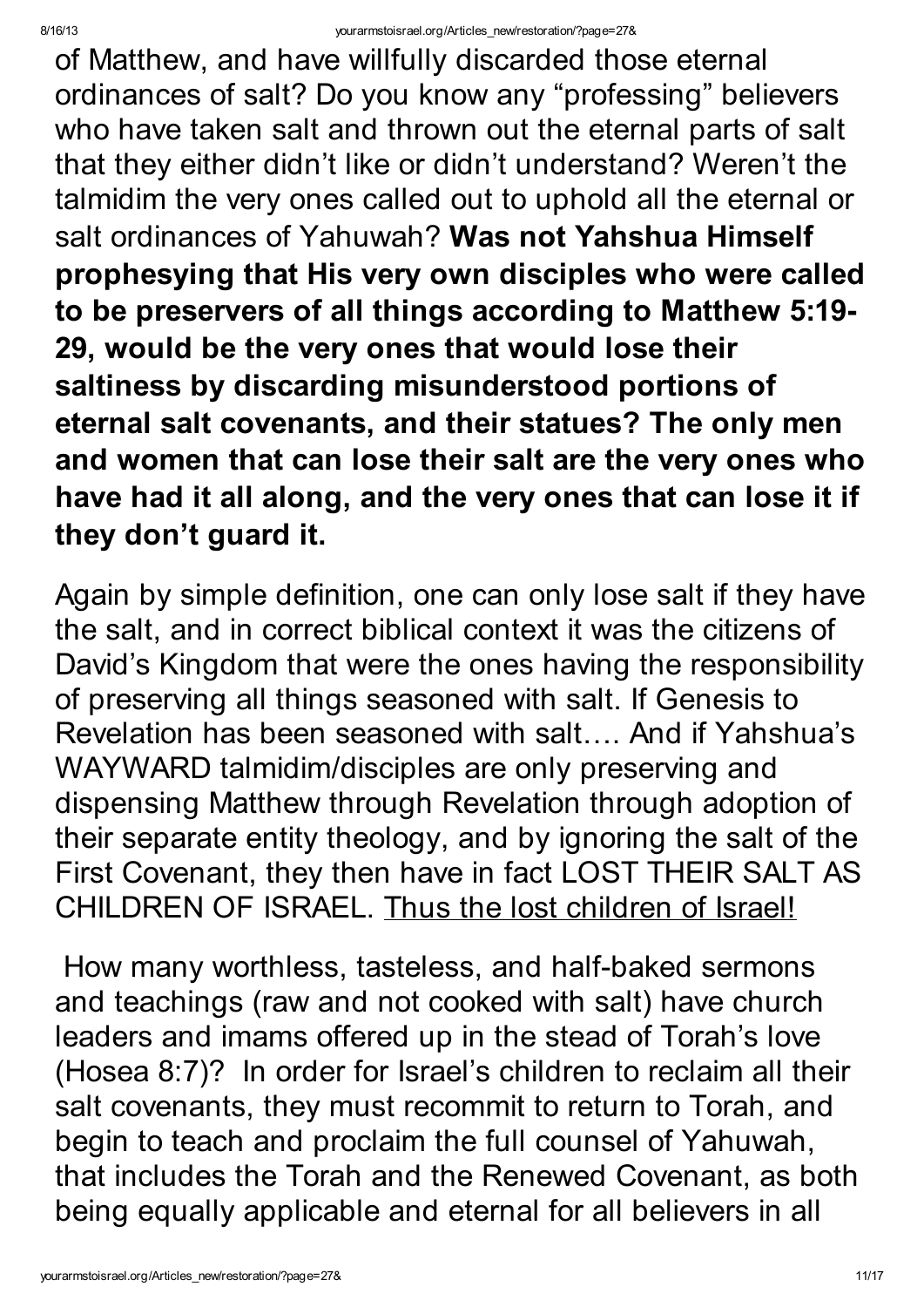of Matthew, and have willfully discarded those eternal ordinances of salt? Do you know any "professing" believers who have taken salt and thrown out the eternal parts of salt that they either didn't like or didn't understand? Weren't the talmidim the very ones called out to uphold all the eternal or salt ordinances of Yahuwah? Was not Yahshua Himself prophesying that His very own disciples who were called to be preservers of all things according to Matthew 5:19- 29, would be the very ones that would lose their saltiness by discarding misunderstood portions of eternal salt covenants, and their statues? The only men and women that can lose their salt are the very ones who have had it all along, and the very ones that can lose it if they don't guard it.

Again by simple definition, one can only lose salt if they have the salt, and in correct biblical context it was the citizens of David's Kingdom that were the ones having the responsibility of preserving all things seasoned with salt. If Genesis to Revelation has been seasoned with salt…. And if Yahshua's WAYWARD talmidim/disciples are only preserving and dispensing Matthew through Revelation through adoption of their separate entity theology, and by ignoring the salt of the First Covenant, they then have in fact LOST THEIR SALT AS CHILDREN OF ISRAEL. Thus the lost children of Israel!

How many worthless, tasteless, and half-baked sermons and teachings (raw and not cooked with salt) have church leaders and imams offered up in the stead of Torah's love (Hosea 8:7)? In order for Israel's children to reclaim all their salt covenants, they must recommit to return to Torah, and begin to teach and proclaim the full counsel of Yahuwah, that includes the Torah and the Renewed Covenant, as both being equally applicable and eternal for all believers in all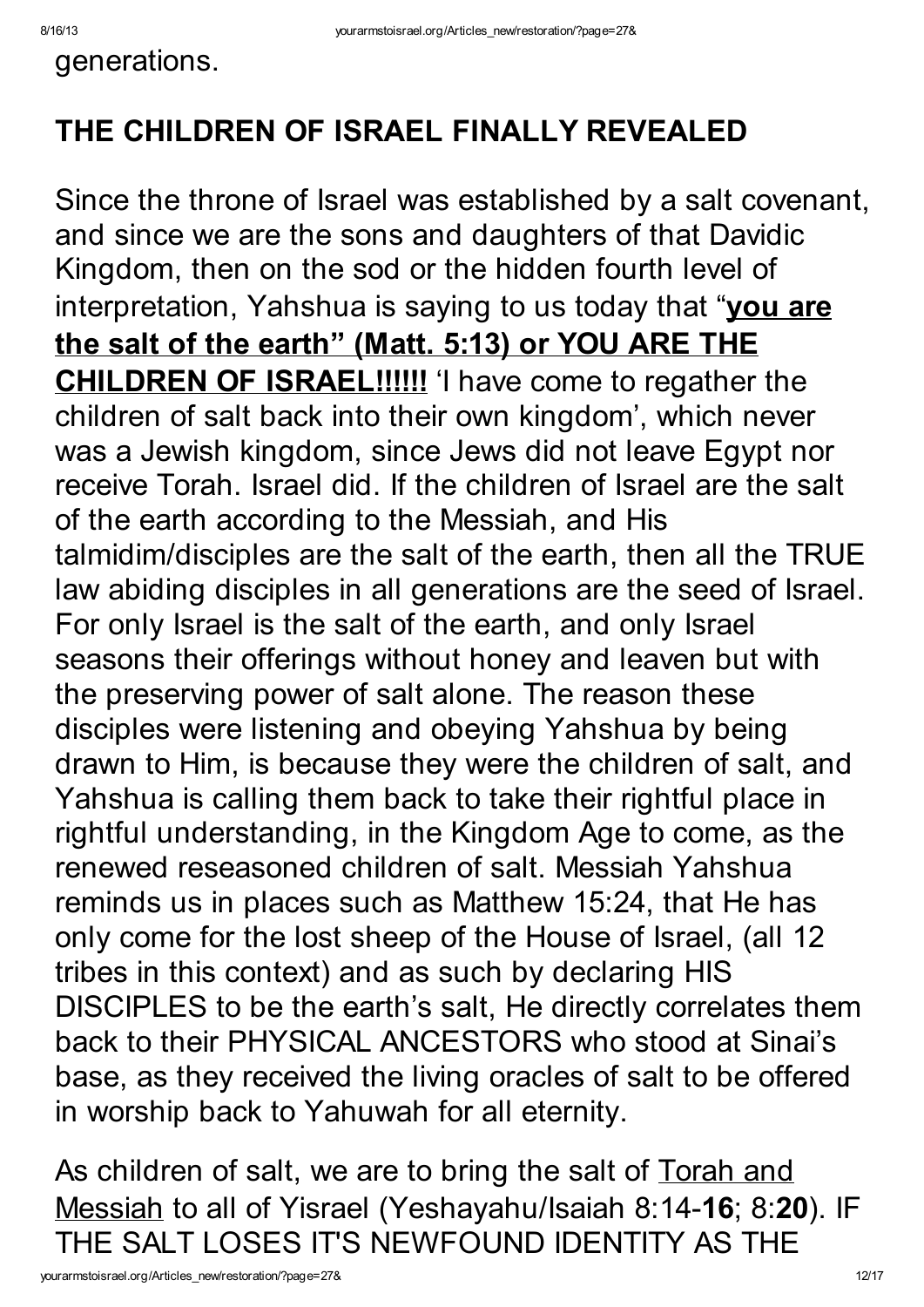generations.

## THE CHILDREN OF ISRAEL FINALLY REVEALED

Since the throne of Israel was established by a salt covenant, and since we are the sons and daughters of that Davidic Kingdom, then on the sod or the hidden fourth level of interpretation, Yahshua is saying to us today that "you are the salt of the earth" (Matt. 5:13) or YOU ARE THE **CHILDREN OF ISRAEL!!!!!!** 'I have come to regather the children of salt back into their own kingdom' , which never was a Jewish kingdom, since Jews did not leave Egypt nor receive Torah. Israel did. If the children of Israel are the salt of the earth according to the Messiah, and His talmidim/disciples are the salt of the earth, then all the TRUE law abiding disciples in all generations are the seed of Israel. For only Israel is the salt of the earth, and only Israel seasons their offerings without honey and leaven but with the preserving power of salt alone. The reason these disciples were listening and obeying Yahshua by being drawn to Him, is because they were the children of salt, and Yahshua is calling them back to take their rightful place in rightful understanding, in the Kingdom Age to come, as the renewed reseasoned children of salt. Messiah Yahshua reminds us in places such as Matthew 15:24, that He has only come for the lost sheep of the House of Israel, (all 12 tribes in this context) and as such by declaring HIS DISCIPLES to be the earth's salt, He directly correlates them back to their PHYSICAL ANCESTORS who stood at Sinai's base, as they received the living oracles of salt to be offered in worship back to Yahuwah for all eternity.

As children of salt, we are to bring the salt of Torah and Messiah to all of Yisrael (Yeshayahu/Isaiah 8:14-16; 8:20). IF THE SALT LOSES IT'S NEWFOUND IDENTITY AS THE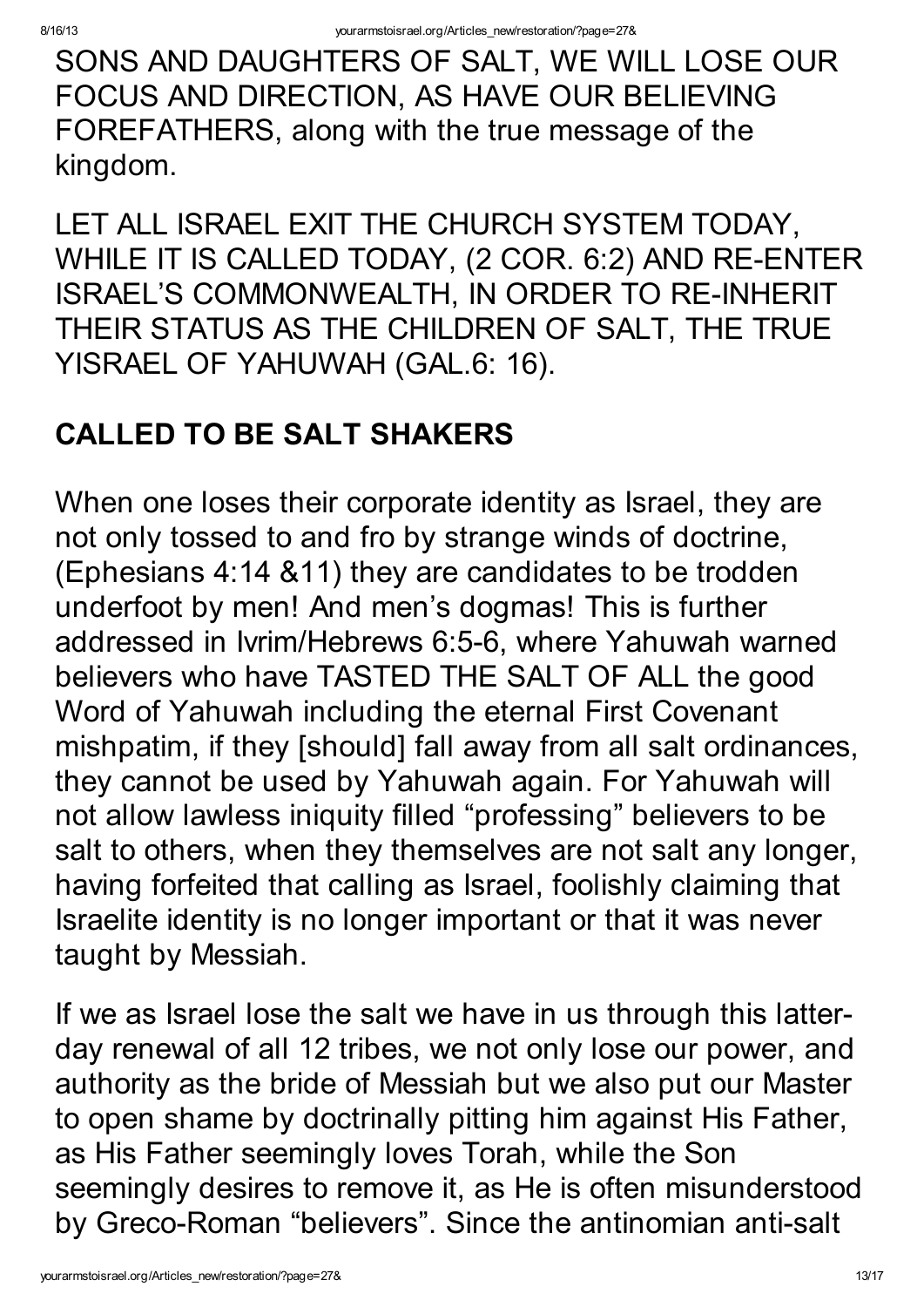SONS AND DAUGHTERS OF SALT, WE WILL LOSE OUR FOCUS AND DIRECTION, AS HAVE OUR BELIEVING FOREFATHERS, along with the true message of the kingdom.

LET ALL ISRAEL EXIT THE CHURCH SYSTEM TODAY, WHILE IT IS CALLED TODAY, (2 COR. 6:2) AND RE-ENTER ISRAEL'S COMMONWEALTH, IN ORDER TO RE-INHERIT THEIR STATUS AS THE CHILDREN OF SALT, THE TRUE YISRAEL OF YAHUWAH (GAL.6: 16).

### CALLED TO BE SALT SHAKERS

When one loses their corporate identity as Israel, they are not only tossed to and fro by strange winds of doctrine, (Ephesians 4:14 &11) they are candidates to be trodden underfoot by men! And men's dogmas! This is further addressed in Ivrim/Hebrews 6:5-6, where Yahuwah warned believers who have TASTED THE SALT OF ALL the good Word of Yahuwah including the eternal First Covenant mishpatim, if they [should] fall away from all salt ordinances, they cannot be used by Yahuwah again. For Yahuwah will not allow lawless iniquity filled "professing" believers to be salt to others, when they themselves are not salt any longer, having forfeited that calling as Israel, foolishly claiming that Israelite identity is no longer important or that it was never taught by Messiah.

If we as Israel lose the salt we have in us through this latterday renewal of all 12 tribes, we not only lose our power, and authority as the bride of Messiah but we also put our Master to open shame by doctrinally pitting him against His Father, as His Father seemingly loves Torah, while the Son seemingly desires to remove it, as He is often misunderstood by Greco-Roman "believers". Since the antinomian anti-salt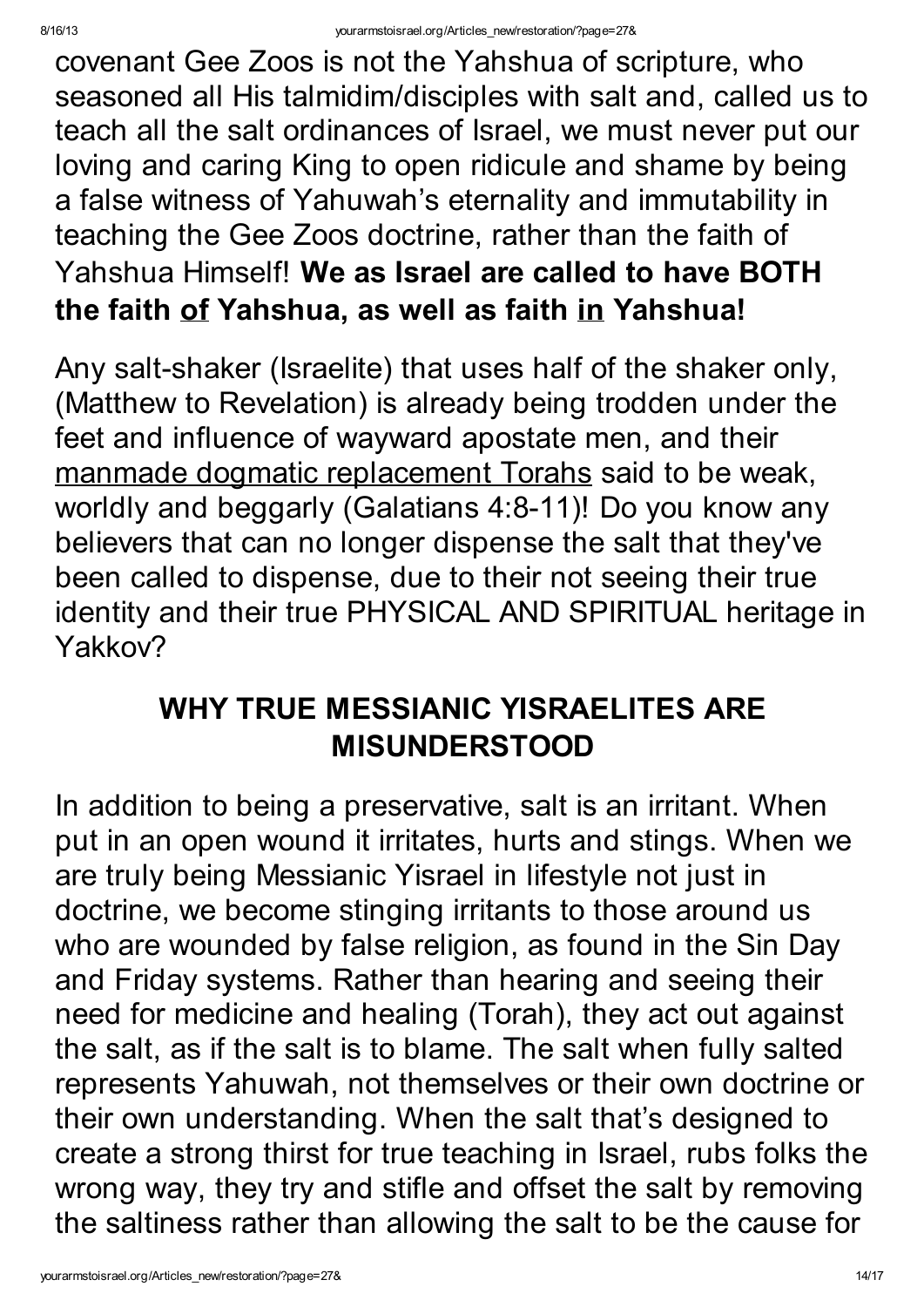covenant Gee Zoos is not the Yahshua of scripture, who seasoned all His talmidim/disciples with salt and, called us to teach all the salt ordinances of Israel, we must never put our loving and caring King to open ridicule and shame by being a false witness of Yahuwah's eternality and immutability in teaching the Gee Zoos doctrine, rather than the faith of Yahshua Himself! We as Israel are called to have BOTH the faith of Yahshua, as well as faith in Yahshua!

Any salt-shaker (Israelite) that uses half of the shaker only, (Matthew to Revelation) is already being trodden under the feet and influence of wayward apostate men, and their manmade dogmatic replacement Torahs said to be weak, worldly and beggarly (Galatians 4:8-11)! Do you know any believers that can no longer dispense the salt that they've been called to dispense, due to their not seeing their true identity and their true PHYSICAL AND SPIRITUAL heritage in Yakkov?

#### WHY TRUE MESSIANIC YISRAELITES ARE MISUNDERSTOOD

In addition to being a preservative, salt is an irritant. When put in an open wound it irritates, hurts and stings. When we are truly being Messianic Yisrael in lifestyle not just in doctrine, we become stinging irritants to those around us who are wounded by false religion, as found in the Sin Day and Friday systems. Rather than hearing and seeing their need for medicine and healing (Torah), they act out against the salt, as if the salt is to blame. The salt when fully salted represents Yahuwah, not themselves or their own doctrine or their own understanding. When the salt that's designed to create a strong thirst for true teaching in Israel, rubs folks the wrong way, they try and stifle and offset the salt by removing the saltiness rather than allowing the salt to be the cause for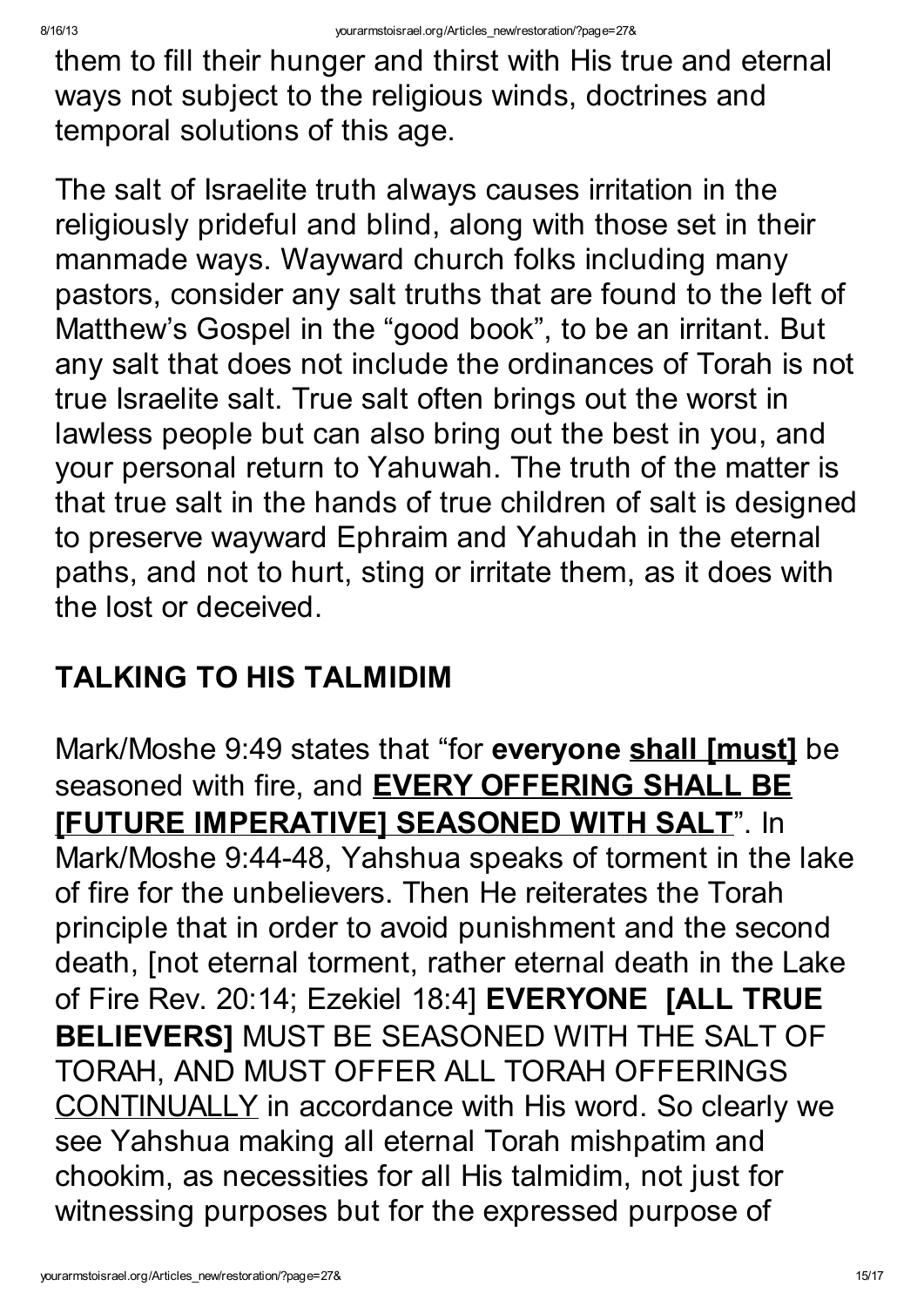them to fill their hunger and thirst with His true and eternal ways not subject to the religious winds, doctrines and temporal solutions of this age.

The salt of Israelite truth always causes irritation in the religiously prideful and blind, along with those set in their manmade ways. Wayward church folks including many pastors, consider any salt truths that are found to the left of Matthew's Gospel in the "good book" , to be an irritant. But any salt that does not include the ordinances of Torah is not true Israelite salt. True salt often brings out the worst in lawless people but can also bring out the best in you, and your personal return to Yahuwah. The truth of the matter is that true salt in the hands of true children of salt is designed to preserve wayward Ephraim and Yahudah in the eternal paths, and not to hurt, sting or irritate them, as it does with the lost or deceived.

#### TALKING TO HIS TALMIDIM

Mark/Moshe 9:49 states that "for everyone shall [must] be seasoned with fire, and **EVERY OFFERING SHALL BE** [FUTURE IMPERATIVE] SEASONED WITH SALT". In Mark/Moshe 9:44-48, Yahshua speaks of torment in the lake of fire for the unbelievers. Then He reiterates the Torah principle that in order to avoid punishment and the second death, [not eternal torment, rather eternal death in the Lake of Fire Rev. 20:14; Ezekiel 18:4] EVERYONE [ALL TRUE BELIEVERS] MUST BE SEASONED WITH THE SALT OF TORAH, AND MUST OFFER ALL TORAH OFFERINGS CONTINUALLY in accordance with His word. So clearly we see Yahshua making all eternal Torah mishpatim and chookim, as necessities for all His talmidim, not just for witnessing purposes but for the expressed purpose of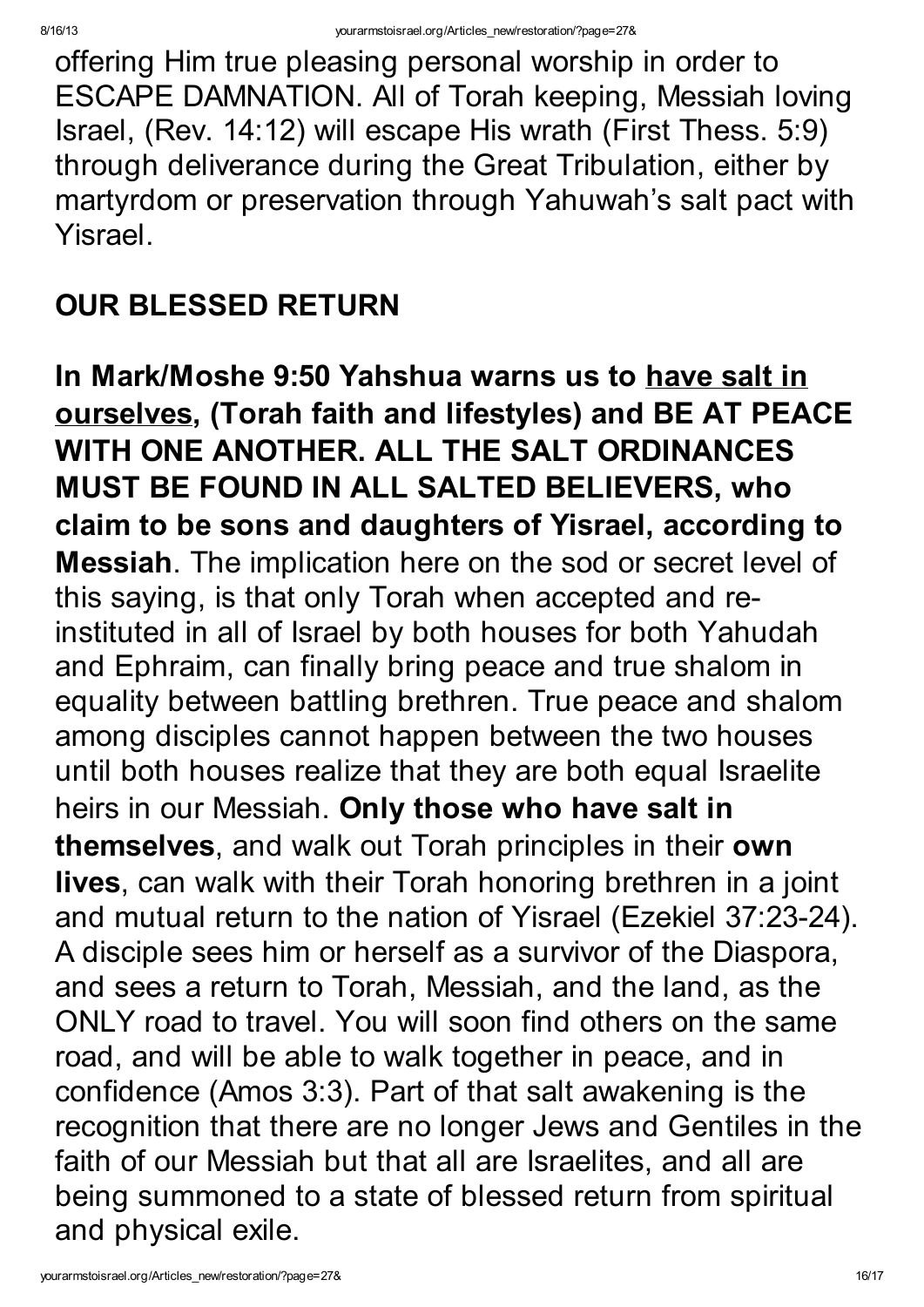offering Him true pleasing personal worship in order to ESCAPE DAMNATION. All of Torah keeping, Messiah loving Israel, (Rev. 14:12) will escape His wrath (First Thess. 5:9) through deliverance during the Great Tribulation, either by martyrdom or preservation through Yahuwah's salt pact with Yisrael.

### OUR BLESSED RETURN

In Mark/Moshe 9:50 Yahshua warns us to have salt in ourselves, (Torah faith and lifestyles) and BE AT PEACE WITH ONE ANOTHER. ALL THE SALT ORDINANCES MUST BE FOUND IN ALL SALTED BELIEVERS, who claim to be sons and daughters of Yisrael, according to Messiah. The implication here on the sod or secret level of this saying, is that only Torah when accepted and reinstituted in all of Israel by both houses for both Yahudah and Ephraim, can finally bring peace and true shalom in equality between battling brethren. True peace and shalom among disciples cannot happen between the two houses until both houses realize that they are both equal Israelite heirs in our Messiah. Only those who have salt in themselves, and walk out Torah principles in their own lives, can walk with their Torah honoring brethren in a joint and mutual return to the nation of Yisrael (Ezekiel 37:23-24). A disciple sees him or herself as a survivor of the Diaspora, and sees a return to Torah, Messiah, and the land, as the ONLY road to travel. You will soon find others on the same road, and will be able to walk together in peace, and in confidence (Amos 3:3). Part of that salt awakening is the recognition that there are no longer Jews and Gentiles in the faith of our Messiah but that all are Israelites, and all are being summoned to a state of blessed return from spiritual and physical exile.